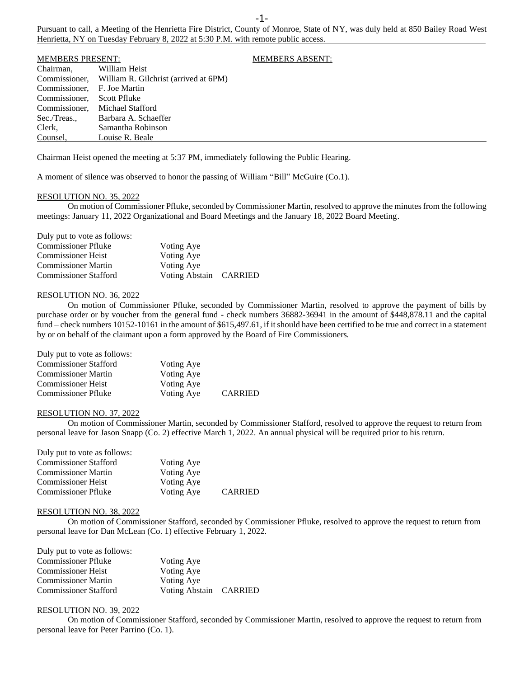Pursuant to call, a Meeting of the Henrietta Fire District, County of Monroe, State of NY, was duly held at 850 Bailey Road West Henrietta, NY on Tuesday February 8, 2022 at 5:30 P.M. with remote public access.

| <b>MEMBERS PRESENT:</b> |                                                     | <b>MEMBERS ABSENT:</b> |
|-------------------------|-----------------------------------------------------|------------------------|
| Chairman,               | William Heist                                       |                        |
|                         | Commissioner, William R. Gilchrist (arrived at 6PM) |                        |
| Commissioner,           | F. Joe Martin                                       |                        |
| Commissioner,           | Scott Pfluke                                        |                        |
| Commissioner,           | Michael Stafford                                    |                        |
| Sec./Treas.,            | Barbara A. Schaeffer                                |                        |
| Clerk,                  | Samantha Robinson                                   |                        |
| Counsel,                | Louise R. Beale                                     |                        |
|                         |                                                     |                        |

Chairman Heist opened the meeting at 5:37 PM, immediately following the Public Hearing.

A moment of silence was observed to honor the passing of William "Bill" McGuire (Co.1).

# RESOLUTION NO. 35, 2022

On motion of Commissioner Pfluke, seconded by Commissioner Martin, resolved to approve the minutes from the following meetings: January 11, 2022 Organizational and Board Meetings and the January 18, 2022 Board Meeting.

| Voting Aye             |  |
|------------------------|--|
| Voting Aye             |  |
| Voting Aye             |  |
| Voting Abstain CARRIED |  |
|                        |  |

#### RESOLUTION NO. 36, 2022

On motion of Commissioner Pfluke, seconded by Commissioner Martin, resolved to approve the payment of bills by purchase order or by voucher from the general fund - check numbers 36882-36941 in the amount of \$448,878.11 and the capital fund – check numbers 10152-10161 in the amount of \$615,497.61, if it should have been certified to be true and correct in a statement by or on behalf of the claimant upon a form approved by the Board of Fire Commissioners.

| Duly put to vote as follows: |            |                |
|------------------------------|------------|----------------|
| <b>Commissioner Stafford</b> | Voting Aye |                |
| <b>Commissioner Martin</b>   | Voting Aye |                |
| <b>Commissioner Heist</b>    | Voting Aye |                |
| <b>Commissioner Pfluke</b>   | Voting Aye | <b>CARRIED</b> |

### RESOLUTION NO. 37, 2022

On motion of Commissioner Martin, seconded by Commissioner Stafford, resolved to approve the request to return from personal leave for Jason Snapp (Co. 2) effective March 1, 2022. An annual physical will be required prior to his return.

| Voting Aye |                |
|------------|----------------|
| Voting Aye |                |
| Voting Aye |                |
| Voting Aye | <b>CARRIED</b> |
|            |                |

### RESOLUTION NO. 38, 2022

On motion of Commissioner Stafford, seconded by Commissioner Pfluke, resolved to approve the request to return from personal leave for Dan McLean (Co. 1) effective February 1, 2022.

| Duly put to vote as follows: |                        |  |
|------------------------------|------------------------|--|
| <b>Commissioner Pfluke</b>   | Voting Aye             |  |
| <b>Commissioner Heist</b>    | Voting Aye             |  |
| <b>Commissioner Martin</b>   | Voting Aye             |  |
| <b>Commissioner Stafford</b> | Voting Abstain CARRIED |  |

# RESOLUTION NO. 39, 2022

On motion of Commissioner Stafford, seconded by Commissioner Martin, resolved to approve the request to return from personal leave for Peter Parrino (Co. 1).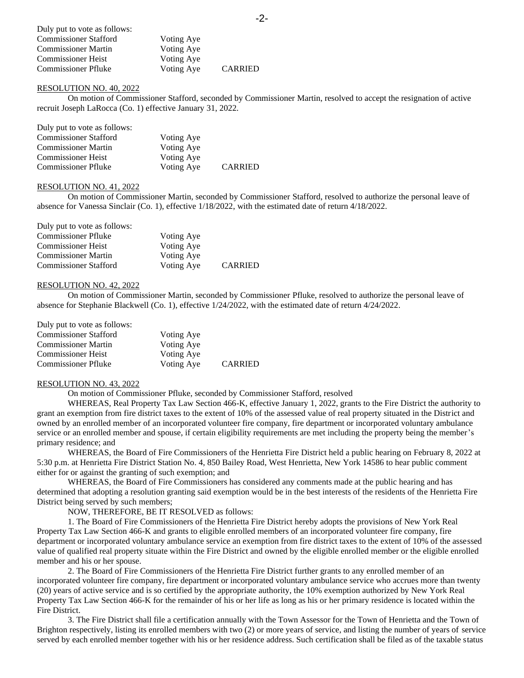| Duly put to vote as follows: |            |                |
|------------------------------|------------|----------------|
| <b>Commissioner Stafford</b> | Voting Aye |                |
| <b>Commissioner Martin</b>   | Voting Aye |                |
| <b>Commissioner Heist</b>    | Voting Aye |                |
| <b>Commissioner Pfluke</b>   | Voting Aye | <b>CARRIED</b> |

### RESOLUTION NO. 40, 2022

On motion of Commissioner Stafford, seconded by Commissioner Martin, resolved to accept the resignation of active recruit Joseph LaRocca (Co. 1) effective January 31, 2022.

| Duly put to vote as follows: |            |                |
|------------------------------|------------|----------------|
| <b>Commissioner Stafford</b> | Voting Aye |                |
| <b>Commissioner Martin</b>   | Voting Aye |                |
| <b>Commissioner Heist</b>    | Voting Aye |                |
| <b>Commissioner Pfluke</b>   | Voting Aye | <b>CARRIED</b> |

### RESOLUTION NO. 41, 2022

On motion of Commissioner Martin, seconded by Commissioner Stafford, resolved to authorize the personal leave of absence for Vanessa Sinclair (Co. 1), effective 1/18/2022, with the estimated date of return 4/18/2022.

| Duly put to vote as follows: |            |                |
|------------------------------|------------|----------------|
| <b>Commissioner Pfluke</b>   | Voting Aye |                |
| <b>Commissioner Heist</b>    | Voting Aye |                |
| <b>Commissioner Martin</b>   | Voting Aye |                |
| <b>Commissioner Stafford</b> | Voting Aye | <b>CARRIED</b> |

### RESOLUTION NO. 42, 2022

On motion of Commissioner Martin, seconded by Commissioner Pfluke, resolved to authorize the personal leave of absence for Stephanie Blackwell (Co. 1), effective 1/24/2022, with the estimated date of return 4/24/2022.

| Duly put to vote as follows: |            |     |
|------------------------------|------------|-----|
| <b>Commissioner Stafford</b> | Voting Aye |     |
| <b>Commissioner Martin</b>   | Voting Aye |     |
| <b>Commissioner Heist</b>    | Voting Aye |     |
| <b>Commissioner Pfluke</b>   | Voting Ave | CAI |

Commissioner Pfluke Voting Aye CARRIED

### RESOLUTION NO. 43, 2022

On motion of Commissioner Pfluke, seconded by Commissioner Stafford, resolved

WHEREAS, Real Property Tax Law Section 466-K, effective January 1, 2022, grants to the Fire District the authority to grant an exemption from fire district taxes to the extent of 10% of the assessed value of real property situated in the District and owned by an enrolled member of an incorporated volunteer fire company, fire department or incorporated voluntary ambulance service or an enrolled member and spouse, if certain eligibility requirements are met including the property being the member's primary residence; and

WHEREAS, the Board of Fire Commissioners of the Henrietta Fire District held a public hearing on February 8, 2022 at 5:30 p.m. at Henrietta Fire District Station No. 4, 850 Bailey Road, West Henrietta, New York 14586 to hear public comment either for or against the granting of such exemption; and

WHEREAS, the Board of Fire Commissioners has considered any comments made at the public hearing and has determined that adopting a resolution granting said exemption would be in the best interests of the residents of the Henrietta Fire District being served by such members;

NOW, THEREFORE, BE IT RESOLVED as follows:

1. The Board of Fire Commissioners of the Henrietta Fire District hereby adopts the provisions of New York Real Property Tax Law Section 466-K and grants to eligible enrolled members of an incorporated volunteer fire company, fire department or incorporated voluntary ambulance service an exemption from fire district taxes to the extent of 10% of the assessed value of qualified real property situate within the Fire District and owned by the eligible enrolled member or the eligible enrolled member and his or her spouse.

2. The Board of Fire Commissioners of the Henrietta Fire District further grants to any enrolled member of an incorporated volunteer fire company, fire department or incorporated voluntary ambulance service who accrues more than twenty (20) years of active service and is so certified by the appropriate authority, the 10% exemption authorized by New York Real Property Tax Law Section 466-K for the remainder of his or her life as long as his or her primary residence is located within the Fire District.

3. The Fire District shall file a certification annually with the Town Assessor for the Town of Henrietta and the Town of Brighton respectively, listing its enrolled members with two (2) or more years of service, and listing the number of years of service served by each enrolled member together with his or her residence address. Such certification shall be filed as of the taxable status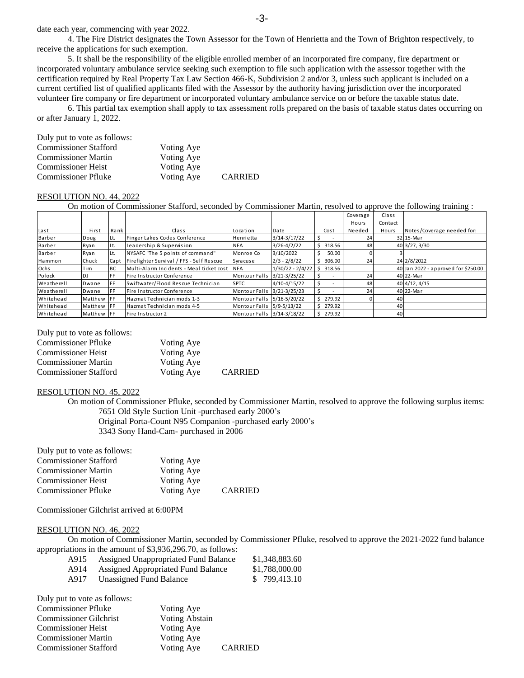date each year, commencing with year 2022.

4. The Fire District designates the Town Assessor for the Town of Henrietta and the Town of Brighton respectively, to receive the applications for such exemption.

5. It shall be the responsibility of the eligible enrolled member of an incorporated fire company, fire department or incorporated voluntary ambulance service seeking such exemption to file such application with the assessor together with the certification required by Real Property Tax Law Section 466-K, Subdivision 2 and/or 3, unless such applicant is included on a current certified list of qualified applicants filed with the Assessor by the authority having jurisdiction over the incorporated volunteer fire company or fire department or incorporated voluntary ambulance service on or before the taxable status date.

6. This partial tax exemption shall apply to tax assessment rolls prepared on the basis of taxable status dates occurring on or after January 1, 2022.

| Duly put to vote as follows: |            |                |
|------------------------------|------------|----------------|
| <b>Commissioner Stafford</b> | Voting Aye |                |
| <b>Commissioner Martin</b>   | Voting Aye |                |
| <b>Commissioner Heist</b>    | Voting Aye |                |
| <b>Commissioner Pfluke</b>   | Voting Aye | <b>CARRIED</b> |

# RESOLUTION NO. 44, 2022

On motion of Commissioner Stafford, seconded by Commissioner Martin, resolved to approve the following training :

|            |                   |             |                                          |                            |                    |    |          | Coverage | Class   |                                     |
|------------|-------------------|-------------|------------------------------------------|----------------------------|--------------------|----|----------|----------|---------|-------------------------------------|
|            |                   |             |                                          |                            |                    |    |          | Hours    | Contact |                                     |
| Last       | First             | Rank        | Class                                    | Location                   | Date               |    | Cost     | Needed   | Hours   | Notes/Coverage needed for:          |
| Barber     | Doug              | Lt.         | Finger Lakes Codes Conference            | Henrietta                  | $3/14 - 3/17/22$   |    |          | 24       |         | 32 15-Mar                           |
| Barber     | Ryan              | ILt.        | Leadership & Supervision                 | <b>NFA</b>                 | $3/26 - 4/2/22$    | S  | 318.56   | 48       |         | 40 3/27, 3/30                       |
| Barber     | Ryan              | Lt.         | NYSAFC "The 5 points of command"         | Monroe Co                  | 3/10/2022          | Ś. | 50.00    | ΩI       |         |                                     |
| Hammon     | Chuck             | Capt        | Firefighter Survival / FFS - Self Rescue | Syracuse                   | $2/3 - 2/8/22$     |    | 306.00   | 24       |         | 24 2/8/2022                         |
| Ochs       | Tim               | <b>I</b> BC | Multi-Alarm Incidents - Meal ticket cost | <b>NFA</b>                 | $1/30/22 - 2/4/22$ |    | \$318.56 |          |         | 40 Jan 2022 - approved for \$250.00 |
| Polock     | DJ                | <b>FF</b>   | Fire Instructor Conference               | Montour Falls 3/21-3/25/22 |                    |    |          | 24       |         | 40 22-Mar                           |
| Weatherell | Dwane             | <b>IFF</b>  | Swiftwater/Flood Rescue Technician       | <b>SPTC</b>                | $4/10-4/15/22$     |    |          | 48       |         | 40 4/12, 4/15                       |
| Weatherell | Dwane             | <b>IFF</b>  | Fire Instructor Conference               | Montour Falls 3/21-3/25/23 |                    |    |          | 24       |         | 40 22-Mar                           |
| Whitehead  | Matthew FF        |             | Hazmat Technician mods 1-3               | Montour Falls 5/16-5/20/22 |                    |    | \$279.92 |          | 40      |                                     |
| Whitehead  | Matthew FF        |             | Hazmat Technician mods 4-5               | Montour Falls 5/9-5/13/22  |                    |    | \$279.92 |          | 40      |                                     |
| Whitehead  | Matthew <b>FF</b> |             | Fire Instructor 2                        | Montour Falls 3/14-3/18/22 |                    |    | \$279.92 |          | 40      |                                     |
|            |                   |             |                                          |                            |                    |    |          |          |         |                                     |
|            |                   |             |                                          |                            |                    |    |          |          |         |                                     |

### Duly put to vote as follows:

| <b>Commissioner Pfluke</b>   | Voting Aye |                |
|------------------------------|------------|----------------|
| <b>Commissioner Heist</b>    | Voting Aye |                |
| <b>Commissioner Martin</b>   | Voting Aye |                |
| <b>Commissioner Stafford</b> | Voting Aye | <b>CARRIED</b> |

### RESOLUTION NO. 45, 2022

On motion of Commissioner Pfluke, seconded by Commissioner Martin, resolved to approve the following surplus items: 7651 Old Style Suction Unit -purchased early 2000's

Original Porta-Count N95 Companion -purchased early 2000's 3343 Sony Hand-Cam- purchased in 2006

| Duly put to vote as follows: |            |                |
|------------------------------|------------|----------------|
| <b>Commissioner Stafford</b> | Voting Aye |                |
| <b>Commissioner Martin</b>   | Voting Aye |                |
| <b>Commissioner Heist</b>    | Voting Aye |                |
| <b>Commissioner Pfluke</b>   | Voting Aye | <b>CARRIED</b> |

Commissioner Gilchrist arrived at 6:00PM

### RESOLUTION NO. 46, 2022

On motion of Commissioner Martin, seconded by Commissioner Pfluke, resolved to approve the 2021-2022 fund balance appropriations in the amount of \$3,936,296.70, as follows:

| A915 | Assigned Unappropriated Fund Balance | \$1,348,883.60 |
|------|--------------------------------------|----------------|
| A914 | Assigned Appropriated Fund Balance   | \$1,788,000.00 |
| A917 | Unassigned Fund Balance              | \$799,413.10   |

| Duly put to vote as follows:  |                |                |
|-------------------------------|----------------|----------------|
| <b>Commissioner Pfluke</b>    | Voting Aye     |                |
| <b>Commissioner Gilchrist</b> | Voting Abstain |                |
| <b>Commissioner Heist</b>     | Voting Aye     |                |
| <b>Commissioner Martin</b>    | Voting Aye     |                |
| <b>Commissioner Stafford</b>  | Voting Aye     | <b>CARRIED</b> |